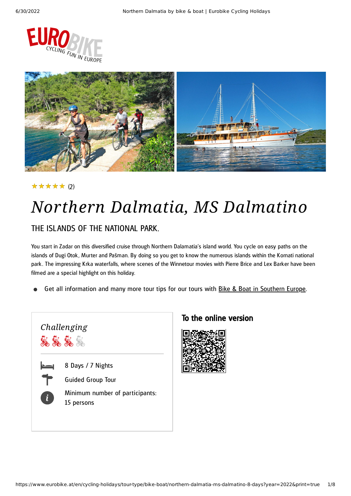



#### (2) ★★★★★

# *Northern Dalmatia, MS Dalmatino*

### THE ISLANDS OF THE NATIONAL PARK.

You start in Zadar on this diversified cruise through Northern Dalamatia's island world. You cycle on easy paths on the islands of Dugi Otok , Murter and Pašman. By doing so you get to know the numerous islands within the Kornati national park. The impressing Krka waterfalls, where scenes of the Winnetour movies with Pierre Brice and Lex Barker have been filmed are a special highlight on this holiday.

Get all information and many more tour tips for our tours with Bike & Boat in [Southern](https://www.eurobike.at/en/cycling-holidays/tour-type/bike-boat/southern-europe) Europe.



### To the online version

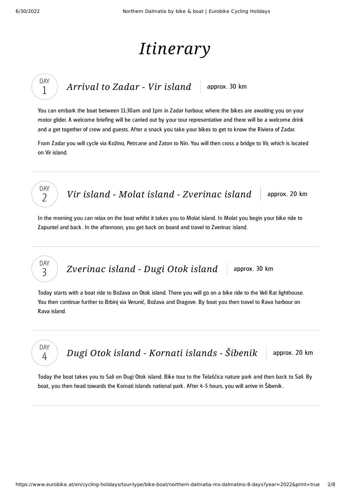DAY 1

DAY  $\overline{\phantom{0}}$ 

DAY 3

DAY 4

# *Itinerary*

*[Arrival](#page-1-0) to Zadar* - *Vir island* approx. 30 km

<span id="page-1-0"></span>You can embark the boat between 11:30am and 1pm in Zadar harbour, where the bikes are awaiting you on your motor glider. A welcome briefing will be carried out by your tour representative and there will be a welcome drink and a get together of crew and guests. After a snack you take your bikes to get to know the Riviera of Zadar.

From Zadar you will cycle via Kožino, Petrcane and Zaton to Nin. You will then cross a bridge to Vir, which is located on Vir island.

*Vir island - Molat island - [Zverinac](#page-1-1) island* approx. 20 km

<span id="page-1-1"></span>In the morning you can relax on the boat whilst it takes you to Molat island. In Molat you begin your bike ride to Zapuntel and back . In the afternoon, you get back on board and travel to Zverinac island.

## *[Zverinac](#page-1-2) island - Dugi Otok island* approx. 30 km

<span id="page-1-2"></span>Today starts with a boat ride to Božava on Otok island. There you will go on a bike ride to the Veli Rat lighthouse. You then continue further to Brbinj via Verunić, Božava and Dragove. By boat you then travel to Rava harbour on Rava island.

*Dugi Otok island - [Kornati](#page-1-3) islands* - Šibenik approx. 20 km

<span id="page-1-3"></span>Today the boat takes you to Sali on Dugi Otok island. Bike tour to the Telašćica nature park and then back to Sali. By boat, you then head towards the Kornati islands national park . After 4 -5 hours, you will arrive in Šibenik .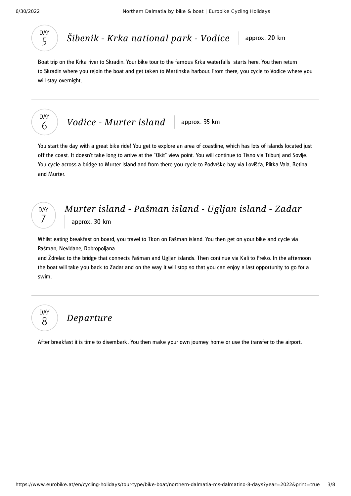

## *Šibenik - Krka [national](#page-2-0) park - Vodice* approx. 20 km

<span id="page-2-0"></span>Boat trip on the Krka river to Skradin. Your bike tour to the famous Krka waterfalls starts here. You then return to Skradin where you rejoin the boat and get taken to Martinska harbour. From there, you cycle to Vodice where you will stay overnight.



*Vodice* - *[Murter](#page-2-1) island* approx. 35 km

<span id="page-2-1"></span>You start the day with a great bike ride! You get to explore an area of coastline, which has lots of islands located just off the coast. It doesn't take long to arrive at the "Okit" view point. You will continue to Tisno via Tribunj and Sovlje. You cycle across a bridge to Murter island and from there you cycle to Podvrške bay via Lovišća, Plitka Vala, Betina and Murter.



### *Murter island - [Pašman](#page-2-2) island - Ugljan island - Zadar* approx. 30 km

<span id="page-2-2"></span>Whilst eating breakfast on board, you travel to Tkon on Pašman island. You then get on your bike and cycle via Pašman, Neviđane, Dobropoljana

and Ždrelac to the bridge that connects Pašman and Ugljan islands. Then continue via Kali to Preko. In the afternoon the boat will take you back to Zadar and on the way it will stop so that you can enjoy a last opportunity to go for a swim.



## *[Departure](#page-2-3)*

<span id="page-2-3"></span>After breakfast it is time to disembark . You then make your own journey home or use the transfer to the airport.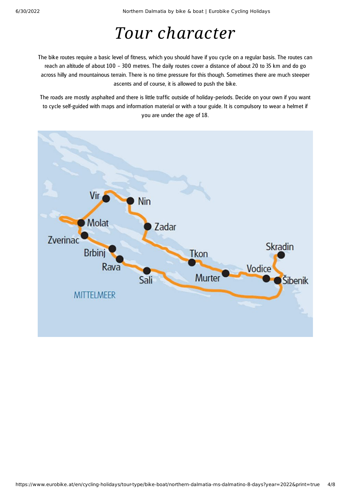# *Tour character*

The bike routes require a basic level of fitness, which you should have if you cycle on a regular basis. The routes can reach an altitude of about 100 – 300 metres. The daily routes cover a distance of about 20 to 35 km and do go across hilly and mountainous terrain. There is no time pressure for this though. Sometimes there are much steeper ascents and of course, it is allowed to push the bike.

The roads are mostly asphalted and there is little traffic outside of holiday-periods. Decide on your own if you want to cycle self-guided with maps and information material or with a tour guide. It is compulsory to wear a helmet if you are under the age of 18.

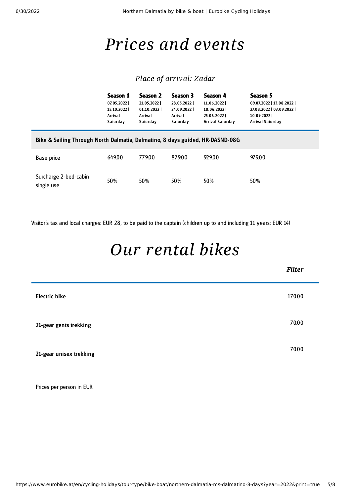## *Prices and events*

### *Place of arrival: Zadar*

|                                                                               | Season 1<br>07.05.2022<br>15.10.2022<br>Arrival<br>Saturday | Season 2<br>21.05.2022<br>01.10.2022<br>Arrival<br>Saturday | Season 3<br>28.05.2022<br>24.09.2022<br>Arrival<br>Saturday | Season 4<br>11.06.2022  <br>18.06.2022<br>25.06.2022<br>Arrival Saturday | Season 5<br>09.07.2022   13.08.2022  <br>27.08.2022   03.09.2022  <br>10.09.20221<br><b>Arrival Saturday</b> |  |
|-------------------------------------------------------------------------------|-------------------------------------------------------------|-------------------------------------------------------------|-------------------------------------------------------------|--------------------------------------------------------------------------|--------------------------------------------------------------------------------------------------------------|--|
| Bike & Sailing Through North Dalmatia, Dalmatino, 8 days guided, HR-DASND-08G |                                                             |                                                             |                                                             |                                                                          |                                                                                                              |  |
| Base price                                                                    | 649.00                                                      | 779.00                                                      | 87900                                                       | 929.00                                                                   | 979.00                                                                                                       |  |
| Surcharge 2-bed-cabin<br>single use                                           | 50%                                                         | 50%                                                         | 50%                                                         | 50%                                                                      | 50%                                                                                                          |  |

Visitor's tax and local charges: EUR 28, to be paid to the captain (children up to and including 11 years: EUR 14)

# *Our [rental](#page-4-0) bikes*

<span id="page-4-0"></span>

|                         | <b>Filter</b> |
|-------------------------|---------------|
| <b>Electric bike</b>    | 170.00        |
| 21-gear gents trekking  | 70.00         |
| 21-gear unisex trekking | 70.00         |

Prices per person in EUR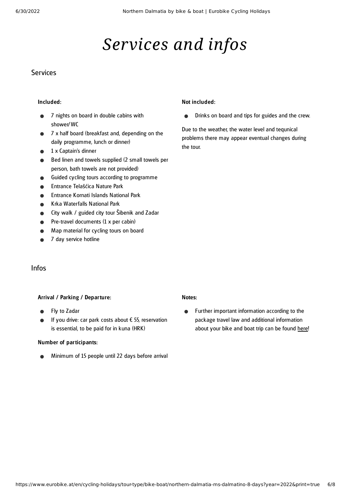# *Services and infos*

#### **Services**

#### Included:

- 7 nights on board in double cabins with shower/WC
- 7 x half board (breakfast and, depending on the daily programme, lunch or dinner)
- 1 x Captain's dinner
- Bed linen and towels supplied (2 small towels per person, bath towels are not provided)
- Guided cycling tours according to programme
- Entrance Telašćica Nature Park
- Entrance Kornati Islands National Park
- Krka Waterfalls National Park
- City walk / guided city tour Šibenik and Zadar
- Pre-travel documents (1 x per cabin)
- Map material for cycling tours on board
- 7 day service hotline

#### Not included:

Drinks on board and tips for guides and the crew.  $\bullet$ 

Due to the weather, the water level and tequnical problems there may appear eventual changes during the tour.

#### Infos

#### Arrival / Parking / Departure:

- Fly to Zadar
- If you drive: car park costs about  $\epsilon$  55, reservation  $\bullet$ is essential, to be paid for in kuna (HRK)

#### Number of participants:

Minimum of 15 people until 22 days before arrival

#### Notes:

Further important information according to the  $\bullet$ package travel law and additional information about your bike and boat trip can be found [here!](https://www.eurobike.at/en/travel-information/before-the-tour/pci-bike-boat)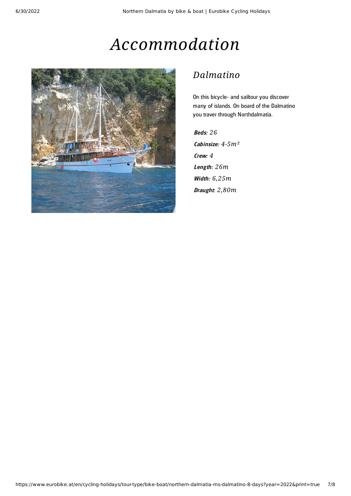# *Accommodation*



### *Dalmatino*

On this bicycle- and sailtour you discover many of islands. On board of the Dalmatino you traver through Northdalmatia.

Beds: *26* Cabinsize: *4-5m²* Crew: *4* Leng th: *26m* Width: *6,25m* Draught: *2,80m*